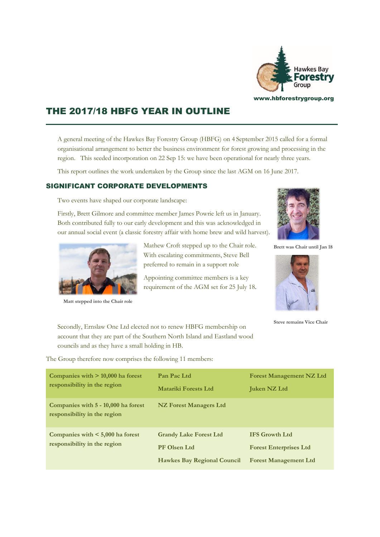

# THE 2017/18 HBFG YEAR IN OUTLINE

A general meeting of the Hawkes Bay Forestry Group (HBFG) on 4 September 2015 called for a formal organisational arrangement to better the business environment for forest growing and processing in the region. This seeded incorporation on 22 Sep 15: we have been operational for nearly three years.

Mathew Croft stepped up to the Chair role.

Appointing committee members is a key

This report outlines the work undertaken by the Group since the last AGM on 16 June 2017.

## SIGNIFICANT CORPORATE DEVELOPMENTS

Two events have shaped our corporate landscape:

Firstly, Brett Gilmore and committee member James Powrie left us in January. Both contributed fully to our early development and this was acknowledged in our annual social event (a classic forestry affair with home brew and wild harvest).



**Matt stepped into the Chair role**



**Brett was Chair until Jan 18**



**Steve remains Vice Chair** 

Secondly, Ernslaw One Ltd elected not to renew HBFG membership on account that they are part of the Southern North Island and Eastland wood councils and as they have a small holding in HB.

The Group therefore now comprises the following 11 members:

| Companies with $> 10,000$ ha forest<br>responsibility in the region   | Pan Pac Ltd<br><b>Matariki Forests Ltd</b>                                                 | <b>Forest Management NZ Ltd</b><br><b>Juken NZ Ltd</b>                                 |
|-----------------------------------------------------------------------|--------------------------------------------------------------------------------------------|----------------------------------------------------------------------------------------|
| Companies with 5 - 10,000 ha forest<br>responsibility in the region   | NZ Forest Managers Ltd                                                                     |                                                                                        |
| Companies with $\leq 5,000$ ha forest<br>responsibility in the region | <b>Grandy Lake Forest Ltd</b><br><b>PF Olsen Ltd</b><br><b>Hawkes Bay Regional Council</b> | <b>IFS Growth Ltd</b><br><b>Forest Enterprises Ltd</b><br><b>Forest Management Ltd</b> |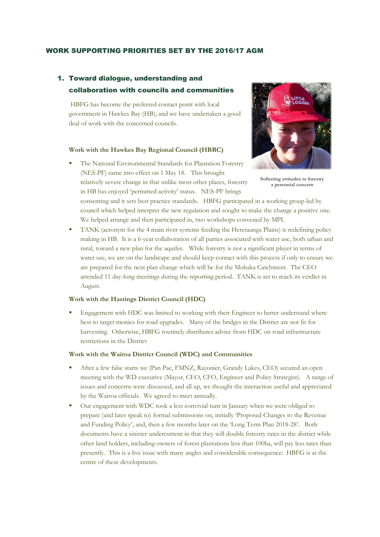### WORK SUPPORTING PRIORITIES SET BY THE 2016/17 AGM

## 1. Toward dialogue, understanding and collaboration with councils and communities

HBFG has become the preferred contact point with local government in Hawkes Bay (HB), and we have undertaken a good deal of work with the concerned councils.

#### **Work with the Hawkes Bay Regional Council (HBRC)**

The National Environmental Standards for Plantation Forestry (NES-PF) came into effect on 1 May 18. This brought relatively severe change in that unlike most other places, forestry in HB has enjoyed 'permitted activity' status. NES-PF brings



**Softening attitudes to forestry a perennial concern**

consenting and it sets best practice standards. HBFG participated in a working group led by council which helped interpret the new regulation and sought to make the change a positive one. We helped arrange and then participated in, two workshops convened by MPI.

TANK (acronym for the 4 main river systems feeding the Heretaunga Plains) is redefining policy making in HB. It is a 6-year collaboration of all parties associated with water use, both urban and rural, toward a new plan for the aquifer. While forestry is not a significant player in terms of water use, we are on the landscape and should keep contact with this process if only to ensure we are prepared for the next plan change which will be for the Mohaka Catchment. The CEO attended 11 day-long meetings during the reporting period. TANK is set to reach its verdict in August.

#### **Work with the Hastings District Council (HDC)**

Engagement with HDC was limited to working with their Engineer to better understand where best to target monies for road upgrades. Many of the bridges in the District are not fit for harvesting. Otherwise, HBFG routinely distributes advice from HDC on road infrastructure restrictions in the District

#### **Work with the Wairoa District Council (WDC) and Communities**

- After a few false starts we (Pan Pac, FMNZ, Rayonier, Grandy Lakes, CEO) secured an open meeting with the WD executive (Mayor, CEO, CFO, Engineer and Policy Strategist). A range of issues and concerns were discussed, and all up, we thought the interaction useful and appreciated by the Wairoa officials. We agreed to meet annually.
- Our engagement with WDC took a less convivial turn in January when we were obliged to prepare (and later speak to) formal submissions on, initially 'Proposed Changes to the Revenue and Funding Policy', and, then a few months later on the 'Long Term Plan 2018-28'. Both documents have a sinister undercurrent in that they will double forestry rates in the district while other land holders, including owners of forest plantations less than 100ha, will pay less rates than presently. This is a live issue with many angles and considerable consequence: HBFG is at the centre of these developments.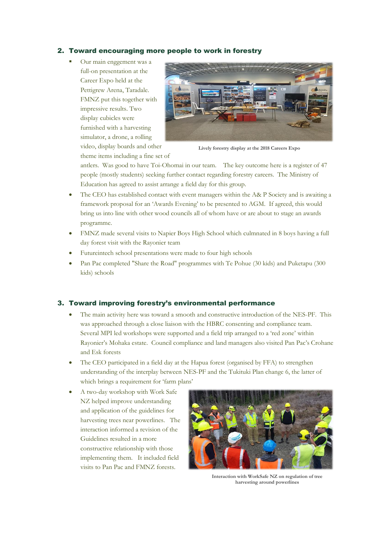## 2. Toward encouraging more people to work in forestry

Our main enggement was a full-on presentation at the Career Expo held at the Pettigrew Arena, Taradale. FMNZ put this together with impressive results. Two display cubicles were furnished with a harvesting simulator, a drone, a rolling video, display boards and other



**Lively forestry display at the 2018 Careers Expo**

theme items including a fine set of

antlers. Was good to have Toi-Ohomai in our team. The key outcome here is a register of 47 people (mostly students) seeking further contact regarding forestry careers. The Ministry of Education has agreed to assist arrange a field day for this group.

- The CEO has established contact with event managers within the A& P Society and is awaiting a framework proposal for an 'Awards Evening' to be presented to AGM. If agreed, this would bring us into line with other wood councils all of whom have or are about to stage an awards programme.
- FMNZ made several visits to Napier Boys High School which culmnated in 8 boys having a full day forest visit with the Rayonier team
- Futureintech school presentations were made to four high schools
- Pan Pac completed "Share the Road" programmes with Te Pohue (30 kids) and Puketapu (300 kids) schools

## 3. Toward improving forestry's environmental performance

- The main activity here was toward a smooth and constructive introduction of the NES-PF. This was approached through a close liaison with the HBRC consenting and compliance team. Several MPI led workshops were supported and a field trip arranged to a 'red zone' within Rayonier's Mohaka estate. Council compliance and land managers also visited Pan Pac's Crohane and Esk forests
- The CEO participated in a field day at the Hapua forest (organised by FFA) to strengthen understanding of the interplay between NES-PF and the Tukituki Plan change 6, the latter of which brings a requirement for 'farm plans'
- A two-day workshop with Work Safe NZ helped improve understanding and application of the guidelines for harvesting trees near powerlines. The interaction informed a revision of the Guidelines resulted in a more constructive relationship with those implementing them. It included field visits to Pan Pac and FMNZ forests.



**Interaction with WorkSafe NZ on regulation of tree harvesting around powerlines**